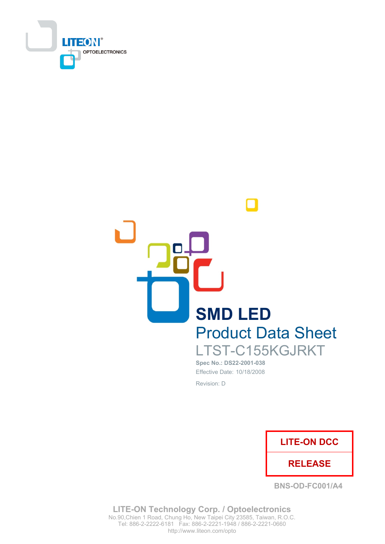



Spec No.: DS22-2001-038 Effective Date: 10/18/2008 Revision: D



**BNS-OD-FC001/A4** 

**LITE-ON Technology Corp. / Optoelectronics** No.90, Chien 1 Road, Chung Ho, New Taipei City 23585, Taiwan, R.O.C. Tel: 886-2-2222-6181 Fax: 886-2-2221-1948 / 886-2-2221-0660 http://www.liteon.com/opto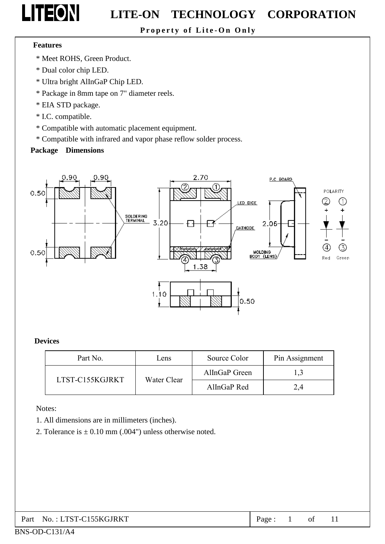

Property of Lite-On Only

#### **Features**

- \* Meet ROHS, Green Product.
- \* Dual color chip LED.
- \* Ultra bright AlInGaP Chip LED.
- \* Package in 8mm tape on 7" diameter reels.
- \* EIA STD package.
- \* I.C. compatible.
- \* Compatible with automatic placement equipment.
- \* Compatible with infrared and vapor phase reflow solder process.

#### **Package Dimensions**



#### **Devices**

| Part No.        | Lens        | Source Color  | Pin Assignment |
|-----------------|-------------|---------------|----------------|
| LTST-C155KGJRKT |             | AllnGaP Green |                |
|                 | Water Clear | AllnGaP Red   | 2.4            |

Notes:

- 1. All dimensions are in millimeters (inches).
- 2. Tolerance is  $\pm$  0.10 mm (.004") unless otherwise noted.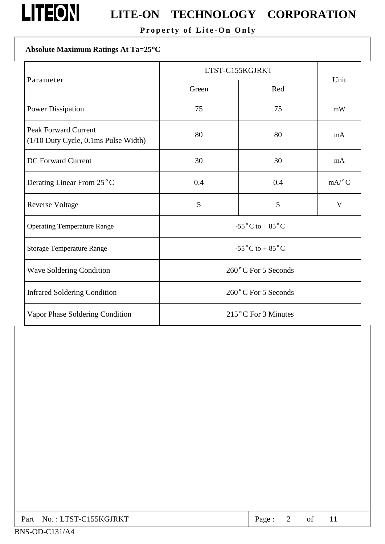

# **LITEON** LITE-ON TECHNOLOGY CORPORATION

Property of Lite-On Only

### Absolute Maximum Ratings At Ta=25°C

|                                                                     | LTST-C155KGJRKT                      |                                       |              |  |  |
|---------------------------------------------------------------------|--------------------------------------|---------------------------------------|--------------|--|--|
| Parameter                                                           | Green                                | Red                                   | Unit         |  |  |
| <b>Power Dissipation</b>                                            | 75                                   | 75                                    | mW           |  |  |
| <b>Peak Forward Current</b><br>(1/10 Duty Cycle, 0.1ms Pulse Width) | 80                                   | 80                                    | mA           |  |  |
| <b>DC</b> Forward Current                                           | 30                                   | 30                                    | mA           |  |  |
| Derating Linear From 25°C                                           | 0.4                                  | 0.4                                   | mA/°C        |  |  |
| <b>Reverse Voltage</b>                                              | 5                                    | 5                                     | $\mathbf{V}$ |  |  |
| <b>Operating Temperature Range</b>                                  |                                      | -55 $^{\circ}$ C to + 85 $^{\circ}$ C |              |  |  |
| <b>Storage Temperature Range</b>                                    | -55 $^{\circ}$ C to +85 $^{\circ}$ C |                                       |              |  |  |
| <b>Wave Soldering Condition</b>                                     | 260°C For 5 Seconds                  |                                       |              |  |  |
| <b>Infrared Soldering Condition</b>                                 | 260°C For 5 Seconds                  |                                       |              |  |  |
| Vapor Phase Soldering Condition                                     | 215°C For 3 Minutes                  |                                       |              |  |  |

| Part No.: LTST-C155KGJRKT | Page: |  | of |  |
|---------------------------|-------|--|----|--|
|---------------------------|-------|--|----|--|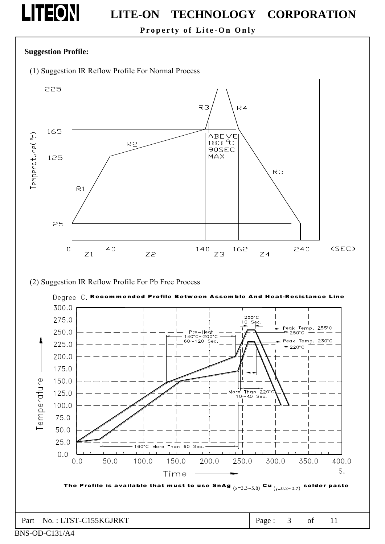

Property of Lite-On Only

#### **Suggestion Profile:**

(1) Suggestion IR Reflow Profile For Normal Process



#### (2) Suggestion IR Reflow Profile For Pb Free Process

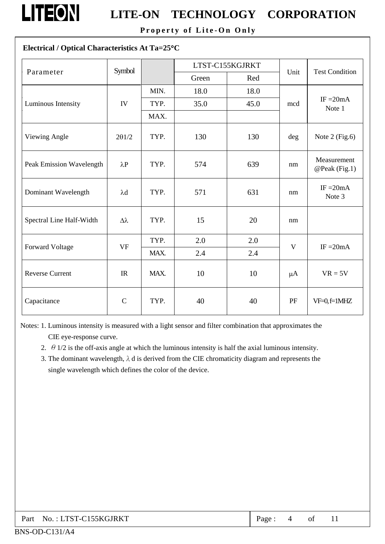

Property of Lite-On Only

### Electrical / Optical Characteristics At Ta=25°C

| Parameter                | Symbol           |      | LTST-C155KGJRKT |      |         | <b>Test Condition</b>        |  |
|--------------------------|------------------|------|-----------------|------|---------|------------------------------|--|
|                          |                  |      | Green           | Red  | Unit    |                              |  |
|                          |                  | MIN. | 18.0            | 18.0 |         | IF $=20mA$<br>Note 1         |  |
| Luminous Intensity       | IV               | TYP. | 35.0            | 45.0 | mcd     |                              |  |
|                          |                  | MAX. |                 |      |         |                              |  |
| Viewing Angle            | $2\theta$ 1/2    | TYP. | 130             | 130  | deg     | Note $2$ (Fig.6)             |  |
| Peak Emission Wavelength | $\lambda P$      | TYP. | 574             | 639  | nm      | Measurement<br>@Peak (Fig.1) |  |
| Dominant Wavelength      | $\lambda$ d      | TYP. | 571             | 631  | nm      | $IF = 20mA$<br>Note 3        |  |
| Spectral Line Half-Width | $\Delta \lambda$ | TYP. | 15              | 20   | nm      |                              |  |
| Forward Voltage          | <b>VF</b>        | TYP. | 2.0             | 2.0  | V       | $IF = 20mA$                  |  |
|                          |                  | MAX. | 2.4             | 2.4  |         |                              |  |
| <b>Reverse Current</b>   | IR               | MAX. | 10              | 10   | $\mu A$ | $VR = 5V$                    |  |
| Capacitance              | $\mathcal{C}$    | TYP. | 40              | 40   | PF      | $VF=0, f=1MHz$               |  |

Notes: 1. Luminous intensity is measured with a light sensor and filter combination that approximates the CIE eye-response curve.

- 2.  $\theta$  1/2 is the off-axis angle at which the luminous intensity is half the axial luminous intensity.
- 3. The dominant wavelength,  $\lambda$  d is derived from the CIE chromaticity diagram and represents the single wavelength which defines the color of the device.

| Part No.: LTST-C155KGJRKT | Page: |  |  |  |  |
|---------------------------|-------|--|--|--|--|
|---------------------------|-------|--|--|--|--|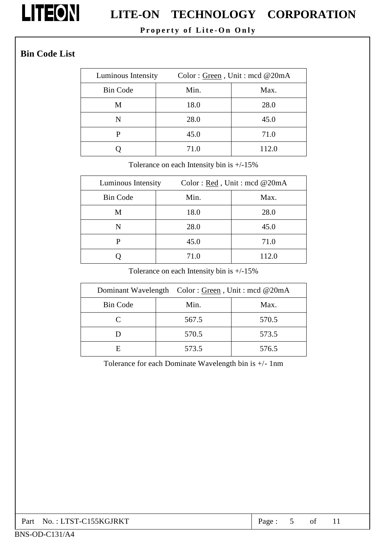

### Property of Lite-On Only

### **Bin Code List**

| Luminous Intensity |      | Color: Green, Unit: mcd @20mA |
|--------------------|------|-------------------------------|
| <b>Bin Code</b>    | Min. | Max.                          |
| M                  | 18.0 | 28.0                          |
| N                  | 28.0 | 45.0                          |
| р                  | 45.0 | 71.0                          |
|                    | 71.0 | 112.0                         |

Tolerance on each Intensity bin is  $+/-15\%$ 

| Luminous Intensity | Color: $Red$ , Unit: mcd @20mA |       |  |  |
|--------------------|--------------------------------|-------|--|--|
| <b>Bin Code</b>    | Min.                           | Max.  |  |  |
| M                  | 18.0                           | 28.0  |  |  |
| N                  | 28.0                           | 45.0  |  |  |
| P                  | 45.0                           | 71.0  |  |  |
|                    | 71.0                           | 112.0 |  |  |

Tolerance on each Intensity bin is  $+/-15\%$ 

|                 | Dominant Wavelength Color: Green, Unit: mcd @20mA |       |
|-----------------|---------------------------------------------------|-------|
| <b>Bin Code</b> | Min.                                              | Max.  |
|                 | 567.5                                             | 570.5 |
|                 | 570.5                                             | 573.5 |
| н               | 573.5                                             | 576.5 |

Tolerance for each Dominate Wavelength bin is +/- 1nm

| No.: LTST-C155KGJRKT<br>Part | Page |  |  |  |  |
|------------------------------|------|--|--|--|--|
|------------------------------|------|--|--|--|--|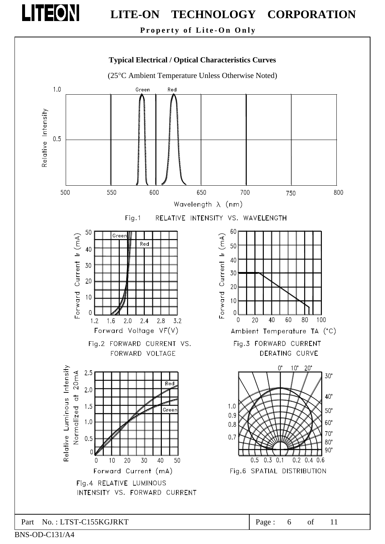

Property of Lite-On Only

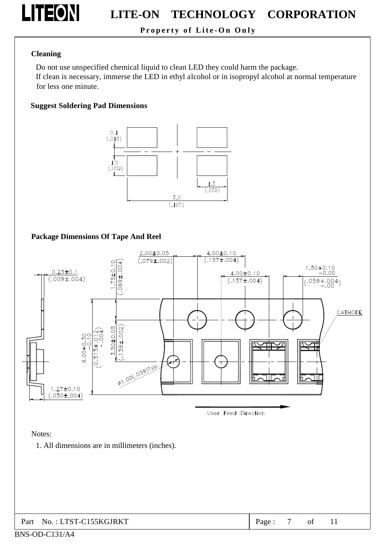

Property of Lite-On Only

#### **Cleaning**

Do not use unspecified chemical liquid to clean LED they could harm the package. If clean is necessary, immerse the LED in ethyl alcohol or in isopropyl alcohol at normal temperature

for less one minute.

#### **Suggest Soldering Pad Dimensions**



#### **Package Dimensions Of Tape And Reel**



User Feed Direction

Notes:

1. All dimensions are in millimeters (inches).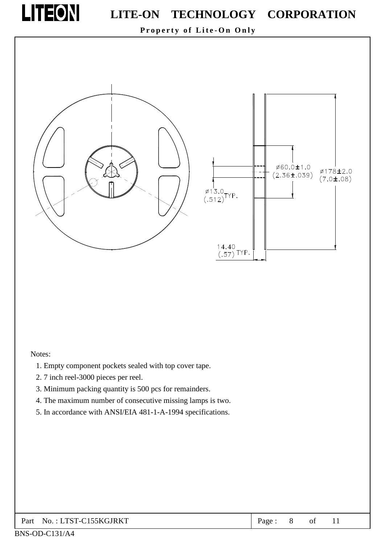

Property of Lite-On Only



#### Notes:

- 1. Empty component pockets sealed with top cover tape.
- 2.7 inch reel-3000 pieces per reel.
- 3. Minimum packing quantity is 500 pcs for remainders.
- 4. The maximum number of consecutive missing lamps is two.
- 5. In accordance with ANSI/EIA 481-1-A-1994 specifications.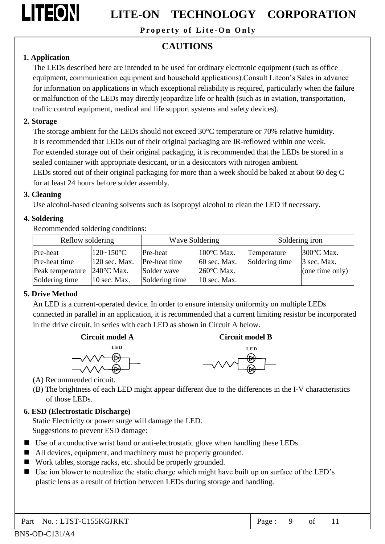

Property of Lite-On Only

### **CAUTIONS**

#### 1. Application

The LEDs described here are intended to be used for ordinary electronic equipment (such as office equipment, communication equipment and household applications). Consult Liteon's Sales in advance for information on applications in which exceptional reliability is required, particularly when the failure or malfunction of the LEDs may directly jeopardize life or health (such as in aviation, transportation, traffic control equipment, medical and life support systems and safety devices).

#### 2. Storage

The storage ambient for the LEDs should not exceed 30°C temperature or 70% relative humidity. It is recommended that LEDs out of their original packaging are IR-reflowed within one week. For extended storage out of their original packaging, it is recommended that the LEDs be stored in a sealed container with appropriate desiccant, or in a desiccators with nitrogen ambient.

LEDs stored out of their original packaging for more than a week should be baked at about 60 deg C for at least 24 hours before solder assembly.

#### 3. Cleaning

Use alcohol-based cleaning solvents such as isopropyl alcohol to clean the LED if necessary.

#### 4. Soldering

Recommended soldering conditions:

| Reflow soldering |                      | Wave Soldering |                      |                | Soldering iron  |
|------------------|----------------------|----------------|----------------------|----------------|-----------------|
| Pre-heat         | $120 - 150$ °C       | Pre-heat       | 100°C Max.           | Temperature    | 300°C Max.      |
| Pre-heat time    | $120$ sec. Max.      | Pre-heat time  | $60$ sec. Max.       | Soldering time | 3 sec. Max.     |
| Peak temperature | $240^{\circ}$ C Max. | Solder wave    | $260^{\circ}$ C Max. |                | (one time only) |
| Soldering time   | $10$ sec. Max.       | Soldering time | $10$ sec. Max.       |                |                 |

### 5. Drive Method

An LED is a current-operated device. In order to ensure intensity uniformity on multiple LEDs connected in parallel in an application, it is recommended that a current limiting resistor be incorporated in the drive circuit, in series with each LED as shown in Circuit A below.





**Circuit model B** 

(A) Recommended circuit.

(B) The brightness of each LED might appear different due to the differences in the I-V characteristics of those LEDs.

#### 6. ESD (Electrostatic Discharge)

Static Electricity or power surge will damage the LED. Suggestions to prevent ESD damage:

- Use of a conductive wrist band or anti-electrostatic glove when handling these LEDs.
- All devices, equipment, and machinery must be properly grounded.
- Work tables, storage racks, etc. should be properly grounded.
- Use ion blower to neutralize the static charge which might have built up on surface of the LED's plastic lens as a result of friction between LEDs during storage and handling.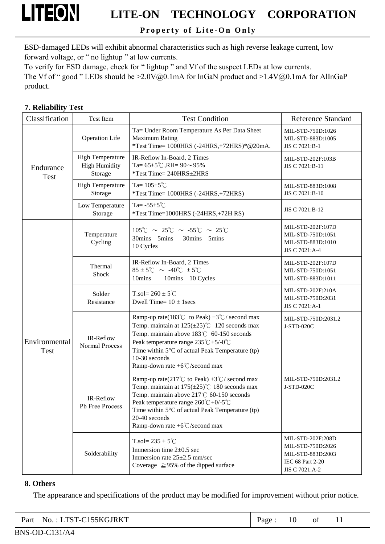

Property of Lite-On Only

ESD-damaged LEDs will exhibit abnormal characteristics such as high reverse leakage current, low forward voltage, or " no lightup " at low currents.

To verify for ESD damage, check for "lightup" and Vf of the suspect LEDs at low currents. The Vf of " good " LEDs should be  $\geq 2.0\sqrt{a_0}$ . 1mA for InGaN product and  $\geq 1.4\sqrt{a_0}$ . 1mA for AlInGaP product.

#### 7. Reliability Test

| Classification               | Test Item                                                  | <b>Test Condition</b>                                                                                                                                                                                                                                                                                                                  | <b>Reference Standard</b>                                                                         |
|------------------------------|------------------------------------------------------------|----------------------------------------------------------------------------------------------------------------------------------------------------------------------------------------------------------------------------------------------------------------------------------------------------------------------------------------|---------------------------------------------------------------------------------------------------|
|                              | <b>Operation Life</b>                                      | Ta= Under Room Temperature As Per Data Sheet<br><b>Maximum Rating</b><br>*Test Time= 1000HRS (-24HRS,+72HRS)*@20mA.                                                                                                                                                                                                                    | MIL-STD-750D:1026<br>MIL-STD-883D:1005<br>JIS C 7021:B-1                                          |
| Endurance<br>Test            | <b>High Temperature</b><br><b>High Humidity</b><br>Storage | IR-Reflow In-Board, 2 Times<br>Ta= $65\pm5^{\circ}$ C, RH= $90\sim95\%$<br>*Test Time= 240HRS±2HRS                                                                                                                                                                                                                                     | MIL-STD-202F:103B<br>JIS C 7021:B-11                                                              |
|                              | <b>High Temperature</b><br>Storage                         | Ta= $105 \pm 5^{\circ}$ C<br>*Test Time= 1000HRS (-24HRS,+72HRS)                                                                                                                                                                                                                                                                       | MIL-STD-883D:1008<br>JIS C 7021:B-10                                                              |
|                              | Low Temperature<br>Storage                                 | Ta= $-55\pm5^{\circ}$ C<br>*Test Time=1000HRS (-24HRS,+72H RS)                                                                                                                                                                                                                                                                         | JIS C 7021:B-12                                                                                   |
|                              | Temperature<br>Cycling                                     | $105^{\circ}\text{C} \sim 25^{\circ}\text{C} \sim -55^{\circ}\text{C} \sim 25^{\circ}\text{C}$<br>30mins 5mins<br>30mins 5mins<br>10 Cycles                                                                                                                                                                                            | MIL-STD-202F:107D<br>MIL-STD-750D:1051<br>MIL-STD-883D:1010<br>JIS C 7021:A-4                     |
|                              | Thermal<br>Shock                                           | IR-Reflow In-Board, 2 Times<br>$85 \pm 5^{\circ}$ $\sim 40^{\circ}$ $\pm 5^{\circ}$<br>10mins<br>10mins 10 Cycles                                                                                                                                                                                                                      | MIL-STD-202F:107D<br>MIL-STD-750D:1051<br>MIL-STD-883D:1011                                       |
|                              | Solder<br>Resistance                                       | T.sol= $260 \pm 5^{\circ}$ C<br>Dwell Time= $10 \pm 1$ secs                                                                                                                                                                                                                                                                            | MIL-STD-202F:210A<br>MIL-STD-750D:2031<br>JIS C 7021:A-1                                          |
| Environmental<br><b>Test</b> | IR-Reflow<br>Normal Process                                | Ramp-up rate(183°C to Peak) +3°C/ second max<br>Temp. maintain at $125(\pm 25)$ °C 120 seconds max<br>Temp. maintain above 183°C 60-150 seconds<br>Peak temperature range $235^{\circ}\text{C} + 5/40^{\circ}\text{C}$<br>Time within $5^{\circ}$ C of actual Peak Temperature (tp)<br>10-30 seconds<br>Ramp-down rate +6°C/second max | MIL-STD-750D:2031.2<br>J-STD-020C                                                                 |
|                              | IR-Reflow<br>Pb Free Process                               | Ramp-up rate(217°C to Peak) +3°C/ second max<br>Temp. maintain at $175(\pm 25)$ °C 180 seconds max<br>Temp. maintain above 217°C 60-150 seconds<br>Peak temperature range $260^{\circ}C + 0/5^{\circ}C$<br>Time within $5^{\circ}$ C of actual Peak Temperature (tp)<br>20-40 seconds<br>Ramp-down rate $+6^{\circ}$ C/second max      | MIL-STD-750D:2031.2<br>J-STD-020C                                                                 |
|                              | Solderability                                              | T.sol= $235 \pm 5^{\circ}$ C<br>Immersion time $2\pm 0.5$ sec<br>Immersion rate $25\pm2.5$ mm/sec<br>Coverage $\geq$ 95% of the dipped surface                                                                                                                                                                                         | MIL-STD-202F:208D<br>MIL-STD-750D:2026<br>MIL-STD-883D:2003<br>IEC 68 Part 2-20<br>JIS C 7021:A-2 |

#### 8. Others

The appearance and specifications of the product may be modified for improvement without prior notice.

|--|